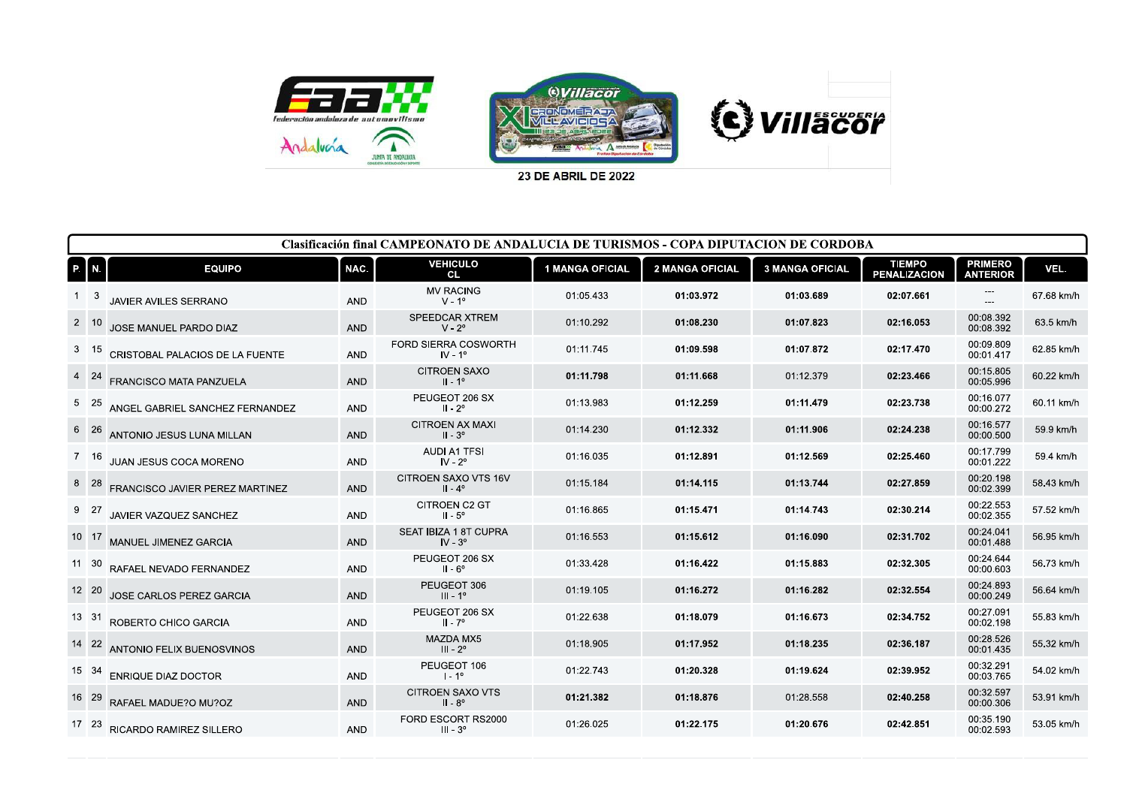

23 DE ABRIL DE 2022

| <b>Clasificación final CAMPEONATO DE ANDALUCIA DE TURISMOS - COPA DIPUTACION DE CORDOBA</b> |                                 |            |                                             |                        |                        |                        |                                      |                                   |            |  |  |
|---------------------------------------------------------------------------------------------|---------------------------------|------------|---------------------------------------------|------------------------|------------------------|------------------------|--------------------------------------|-----------------------------------|------------|--|--|
| P. N.                                                                                       | <b>EQUIPO</b>                   | NAC.       | <b>VEHICULO</b><br><b>CL</b>                | <b>1 MANGA OFICIAL</b> | <b>2 MANGA OFICIAL</b> | <b>3 MANGA OFICIAL</b> | <b>TIEMPO</b><br><b>PENALIZACION</b> | <b>PRIMERO</b><br><b>ANTERIOR</b> | VEL.       |  |  |
|                                                                                             | JAVIER AVILES SERRANO           | <b>AND</b> | <b>MV RACING</b><br>$V - 1^{\circ}$         | 01:05.433              | 01:03.972              | 01:03.689              | 02:07.661                            | ---<br>$---$                      | 67.68 km/h |  |  |
| $2 \quad 10$                                                                                | JOSE MANUEL PARDO DIAZ          | <b>AND</b> | SPEEDCAR XTREM<br>$V - 2^{\circ}$           | 01:10.292              | 01:08.230              | 01:07.823              | 02:16.053                            | 00:08.392<br>00:08.392            | 63.5 km/h  |  |  |
| $3 \quad 15$                                                                                | CRISTOBAL PALACIOS DE LA FUENTE | <b>AND</b> | FORD SIERRA COSWORTH<br>$IV - 1o$           | 01:11.745              | 01:09.598              | 01:07.872              | 02:17.470                            | 00:09.809<br>00:01.417            | 62.85 km/h |  |  |
| 4 24                                                                                        | <b>FRANCISCO MATA PANZUELA</b>  | <b>AND</b> | <b>CITROEN SAXO</b><br>$II - 1^{\circ}$     | 01:11.798              | 01:11.668              | 01:12.379              | 02:23.466                            | 00:15.805<br>00:05.996            | 60.22 km/h |  |  |
| 5 25                                                                                        | ANGEL GABRIEL SANCHEZ FERNANDEZ | <b>AND</b> | PEUGEOT 206 SX<br>$II - 2^{\circ}$          | 01:13.983              | 01:12.259              | 01:11.479              | 02:23.738                            | 00:16.077<br>00:00.272            | 60.11 km/h |  |  |
| 6 26                                                                                        | ANTONIO JESUS LUNA MILLAN       | <b>AND</b> | <b>CITROEN AX MAXI</b><br>$II - 3^{\circ}$  | 01:14.230              | 01:12.332              | 01:11.906              | 02:24.238                            | 00:16.577<br>00:00.500            | 59.9 km/h  |  |  |
| 7 16                                                                                        | JUAN JESUS COCA MORENO          | <b>AND</b> | <b>AUDI A1 TFSI</b><br>$IV - 2^{\circ}$     | 01:16.035              | 01:12.891              | 01:12.569              | 02:25.460                            | 00:17.799<br>00:01.222            | 59.4 km/h  |  |  |
| 8 28                                                                                        | FRANCISCO JAVIER PEREZ MARTINEZ | <b>AND</b> | CITROEN SAXO VTS 16V<br>$II - 4^{\circ}$    | 01:15.184              | 01:14.115              | 01:13.744              | 02:27.859                            | 00:20.198<br>00:02.399            | 58.43 km/h |  |  |
| 9 27                                                                                        | JAVIER VAZQUEZ SANCHEZ          | <b>AND</b> | CITROEN C2 GT<br>$II - 5^\circ$             | 01:16.865              | 01:15.471              | 01:14.743              | 02:30.214                            | 00:22.553<br>00:02.355            | 57.52 km/h |  |  |
| 10 17                                                                                       | MANUEL JIMENEZ GARCIA           | <b>AND</b> | SEAT IBIZA 1 8T CUPRA<br>$IV - 3o$          | 01:16.553              | 01:15.612              | 01:16.090              | 02:31.702                            | 00:24.041<br>00:01.488            | 56.95 km/h |  |  |
| 11 30                                                                                       | RAFAEL NEVADO FERNANDEZ         | <b>AND</b> | PEUGEOT 206 SX<br>$II - 6^\circ$            | 01:33.428              | 01:16.422              | 01:15.883              | 02:32.305                            | 00:24.644<br>00:00.603            | 56.73 km/h |  |  |
| 12 20                                                                                       | JOSE CARLOS PEREZ GARCIA        | <b>AND</b> | PEUGEOT 306<br>$III - 1o$                   | 01:19.105              | 01:16.272              | 01:16.282              | 02:32.554                            | 00:24.893<br>00:00.249            | 56.64 km/h |  |  |
| 13 31                                                                                       | ROBERTO CHICO GARCIA            | <b>AND</b> | PEUGEOT 206 SX<br>$II - 7^{\circ}$          | 01:22.638              | 01:18.079              | 01:16.673              | 02:34.752                            | 00:27.091<br>00:02.198            | 55.83 km/h |  |  |
| 14 22                                                                                       | ANTONIO FELIX BUENOSVINOS       | <b>AND</b> | MAZDA MX5<br>$III - 2o$                     | 01:18.905              | 01:17.952              | 01:18.235              | 02:36.187                            | 00:28.526<br>00:01.435            | 55.32 km/h |  |  |
| 15 34                                                                                       | <b>ENRIQUE DIAZ DOCTOR</b>      | <b>AND</b> | PEUGEOT 106<br>$1 - 1^{\circ}$              | 01:22.743              | 01:20.328              | 01:19.624              | 02:39.952                            | 00:32.291<br>00:03.765            | 54.02 km/h |  |  |
| 16 29                                                                                       | RAFAEL MADUE?O MU?OZ            | <b>AND</b> | <b>CITROEN SAXO VTS</b><br>$II - 8^{\circ}$ | 01:21.382              | 01:18.876              | 01:28.558              | 02:40.258                            | 00:32.597<br>00:00.306            | 53.91 km/h |  |  |
| 17 23                                                                                       | RICARDO RAMIREZ SILLERO         | <b>AND</b> | FORD ESCORT RS2000<br>$III - 3o$            | 01:26.025              | 01:22.175              | 01:20.676              | 02:42.851                            | 00:35.190<br>00:02.593            | 53.05 km/h |  |  |